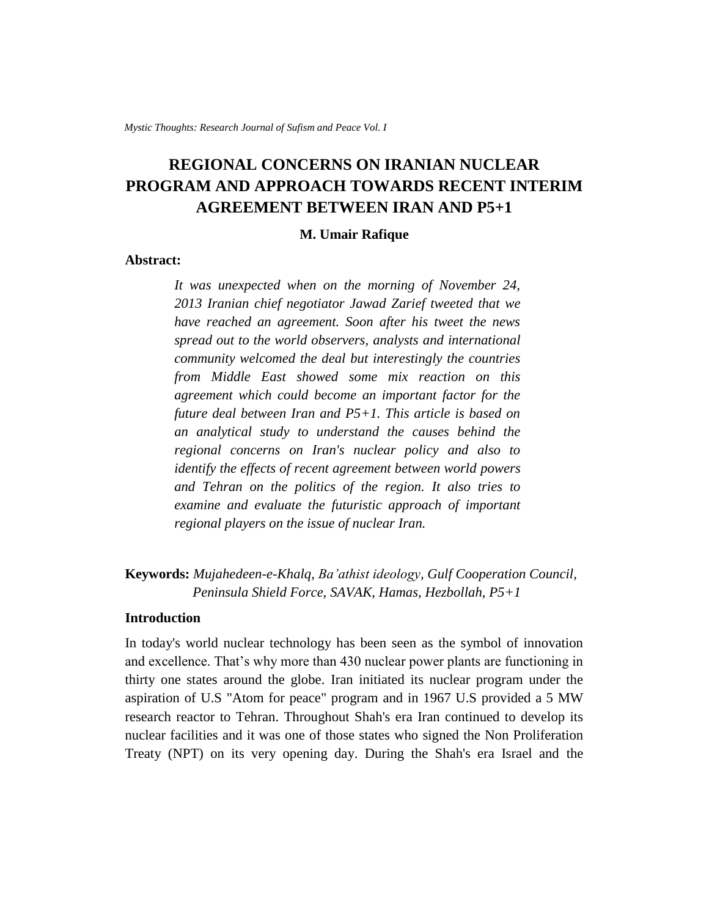# **REGIONAL CONCERNS ON IRANIAN NUCLEAR PROGRAM AND APPROACH TOWARDS RECENT INTERIM AGREEMENT BETWEEN IRAN AND P5+1**

#### **M. Umair Rafique**

## **Abstract:**

*It was unexpected when on the morning of November 24, 2013 Iranian chief negotiator Jawad Zarief tweeted that we have reached an agreement. Soon after his tweet the news spread out to the world observers, analysts and international community welcomed the deal but interestingly the countries from Middle East showed some mix reaction on this agreement which could become an important factor for the future deal between Iran and P5+1. This article is based on an analytical study to understand the causes behind the regional concerns on Iran's nuclear policy and also to identify the effects of recent agreement between world powers and Tehran on the politics of the region. It also tries to examine and evaluate the futuristic approach of important regional players on the issue of nuclear Iran.*

## **Keywords:** *Mujahedeen-e-Khalq, Ba'athist ideology, Gulf Cooperation Council, Peninsula Shield Force, SAVAK, Hamas, Hezbollah, P5+1*

## **Introduction**

In today's world nuclear technology has been seen as the symbol of innovation and excellence. That's why more than 430 nuclear power plants are functioning in thirty one states around the globe. Iran initiated its nuclear program under the aspiration of U.S "Atom for peace" program and in 1967 U.S provided a 5 MW research reactor to Tehran. Throughout Shah's era Iran continued to develop its nuclear facilities and it was one of those states who signed the Non Proliferation Treaty (NPT) on its very opening day. During the Shah's era Israel and the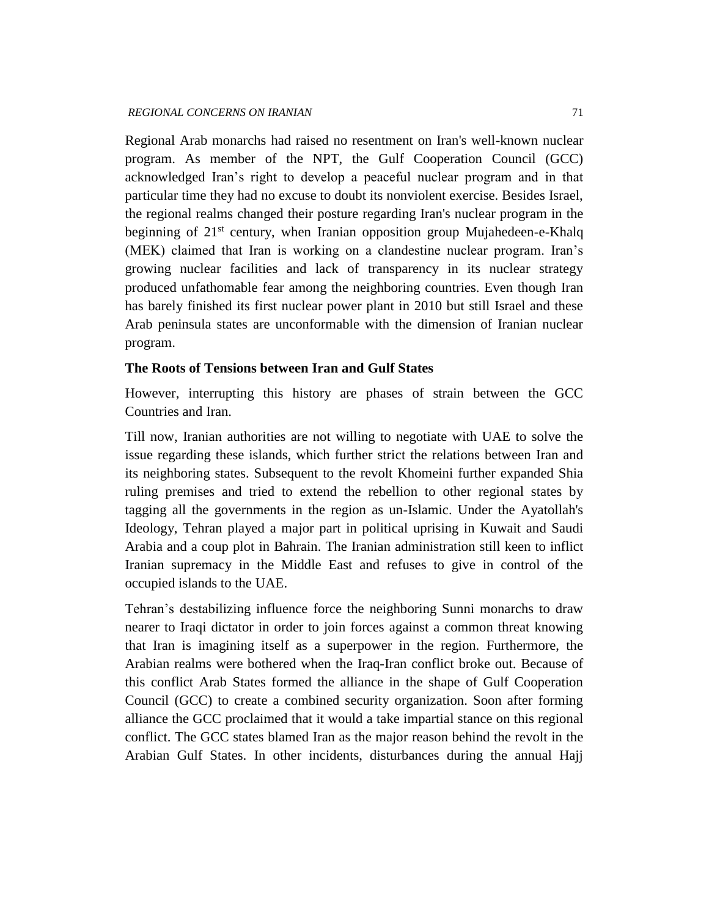Regional Arab monarchs had raised no resentment on Iran's well-known nuclear program. As member of the NPT, the Gulf Cooperation Council (GCC) acknowledged Iran's right to develop a peaceful nuclear program and in that particular time they had no excuse to doubt its nonviolent exercise. Besides Israel, the regional realms changed their posture regarding Iran's nuclear program in the beginning of  $21<sup>st</sup>$  century, when Iranian opposition group Mujahedeen-e-Khalq (MEK) claimed that Iran is working on a clandestine nuclear program. Iran's growing nuclear facilities and lack of transparency in its nuclear strategy produced unfathomable fear among the neighboring countries. Even though Iran has barely finished its first nuclear power plant in 2010 but still Israel and these Arab peninsula states are unconformable with the dimension of Iranian nuclear program.

### **The Roots of Tensions between Iran and Gulf States**

However, interrupting this history are phases of strain between the GCC Countries and Iran.

Till now, Iranian authorities are not willing to negotiate with UAE to solve the issue regarding these islands, which further strict the relations between Iran and its neighboring states. Subsequent to the revolt Khomeini further expanded Shia ruling premises and tried to extend the rebellion to other regional states by tagging all the governments in the region as un-Islamic. Under the Ayatollah's Ideology, Tehran played a major part in political uprising in Kuwait and Saudi Arabia and a coup plot in Bahrain. The Iranian administration still keen to inflict Iranian supremacy in the Middle East and refuses to give in control of the occupied islands to the UAE.

Tehran's destabilizing influence force the neighboring Sunni monarchs to draw nearer to Iraqi dictator in order to join forces against a common threat knowing that Iran is imagining itself as a superpower in the region. Furthermore, the Arabian realms were bothered when the Iraq-Iran conflict broke out. Because of this conflict Arab States formed the alliance in the shape of Gulf Cooperation Council (GCC) to create a combined security organization. Soon after forming alliance the GCC proclaimed that it would a take impartial stance on this regional conflict. The GCC states blamed Iran as the major reason behind the revolt in the Arabian Gulf States. In other incidents, disturbances during the annual Hajj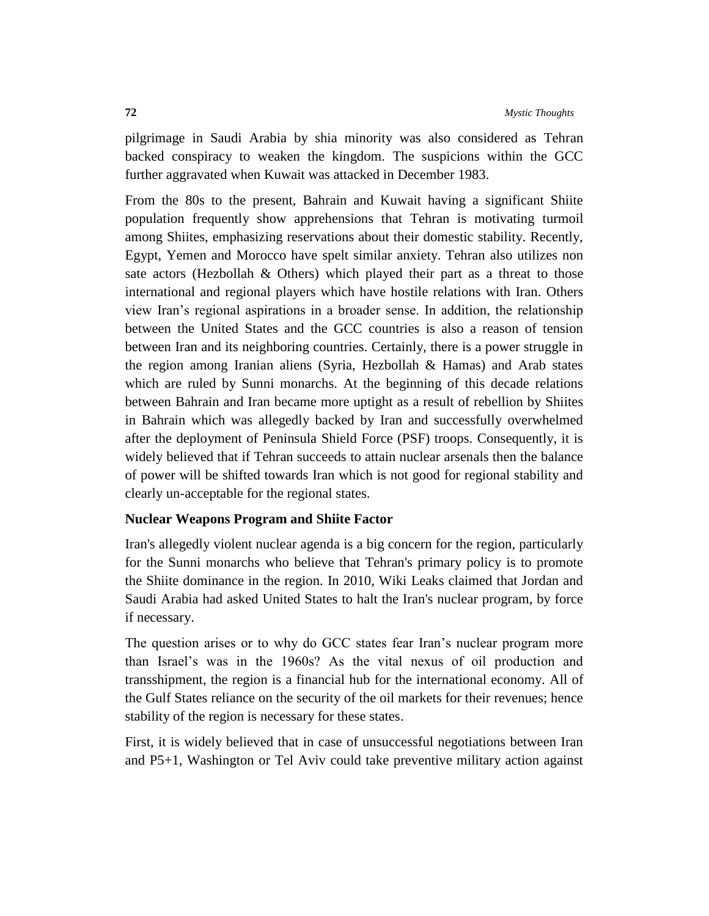pilgrimage in Saudi Arabia by shia minority was also considered as Tehran backed conspiracy to weaken the kingdom. The suspicions within the GCC further aggravated when Kuwait was attacked in December 1983.

From the 80s to the present, Bahrain and Kuwait having a significant Shiite population frequently show apprehensions that Tehran is motivating turmoil among Shiites, emphasizing reservations about their domestic stability. Recently, Egypt, Yemen and Morocco have spelt similar anxiety. Tehran also utilizes non sate actors (Hezbollah & Others) which played their part as a threat to those international and regional players which have hostile relations with Iran. Others view Iran's regional aspirations in a broader sense. In addition, the relationship between the United States and the GCC countries is also a reason of tension between Iran and its neighboring countries. Certainly, there is a power struggle in the region among Iranian aliens (Syria, Hezbollah & Hamas) and Arab states which are ruled by Sunni monarchs. At the beginning of this decade relations between Bahrain and Iran became more uptight as a result of rebellion by Shiites in Bahrain which was allegedly backed by Iran and successfully overwhelmed after the deployment of Peninsula Shield Force (PSF) troops. Consequently, it is widely believed that if Tehran succeeds to attain nuclear arsenals then the balance of power will be shifted towards Iran which is not good for regional stability and clearly un-acceptable for the regional states.

#### **Nuclear Weapons Program and Shiite Factor**

Iran's allegedly violent nuclear agenda is a big concern for the region, particularly for the Sunni monarchs who believe that Tehran's primary policy is to promote the Shiite dominance in the region. In 2010, Wiki Leaks claimed that Jordan and Saudi Arabia had asked United States to halt the Iran's nuclear program, by force if necessary.

The question arises or to why do GCC states fear Iran's nuclear program more than Israel's was in the 1960s? As the vital nexus of oil production and transshipment, the region is a financial hub for the international economy. All of the Gulf States reliance on the security of the oil markets for their revenues; hence stability of the region is necessary for these states.

First, it is widely believed that in case of unsuccessful negotiations between Iran and P5+1, Washington or Tel Aviv could take preventive military action against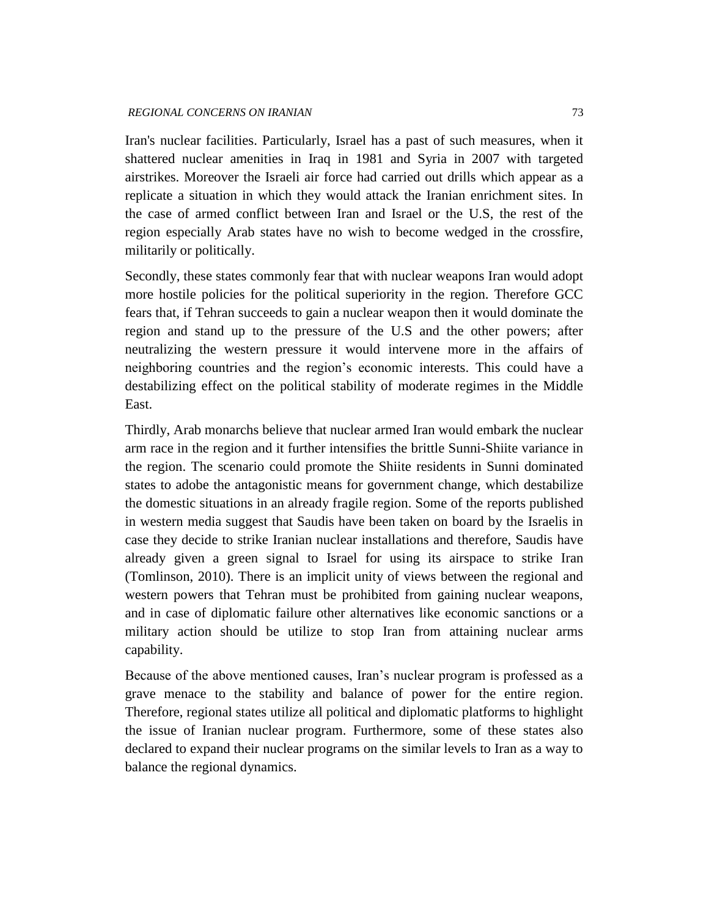Iran's nuclear facilities. Particularly, Israel has a past of such measures, when it shattered nuclear amenities in Iraq in 1981 and Syria in 2007 with targeted airstrikes. Moreover the Israeli air force had carried out drills which appear as a replicate a situation in which they would attack the Iranian enrichment sites. In the case of armed conflict between Iran and Israel or the U.S, the rest of the region especially Arab states have no wish to become wedged in the crossfire, militarily or politically.

Secondly, these states commonly fear that with nuclear weapons Iran would adopt more hostile policies for the political superiority in the region. Therefore GCC fears that, if Tehran succeeds to gain a nuclear weapon then it would dominate the region and stand up to the pressure of the U.S and the other powers; after neutralizing the western pressure it would intervene more in the affairs of neighboring countries and the region's economic interests. This could have a destabilizing effect on the political stability of moderate regimes in the Middle East.

Thirdly, Arab monarchs believe that nuclear armed Iran would embark the nuclear arm race in the region and it further intensifies the brittle Sunni-Shiite variance in the region. The scenario could promote the Shiite residents in Sunni dominated states to adobe the antagonistic means for government change, which destabilize the domestic situations in an already fragile region. Some of the reports published in western media suggest that Saudis have been taken on board by the Israelis in case they decide to strike Iranian nuclear installations and therefore, Saudis have already given a green signal to Israel for using its airspace to strike Iran (Tomlinson, 2010). There is an implicit unity of views between the regional and western powers that Tehran must be prohibited from gaining nuclear weapons, and in case of diplomatic failure other alternatives like economic sanctions or a military action should be utilize to stop Iran from attaining nuclear arms capability.

Because of the above mentioned causes, Iran's nuclear program is professed as a grave menace to the stability and balance of power for the entire region. Therefore, regional states utilize all political and diplomatic platforms to highlight the issue of Iranian nuclear program. Furthermore, some of these states also declared to expand their nuclear programs on the similar levels to Iran as a way to balance the regional dynamics.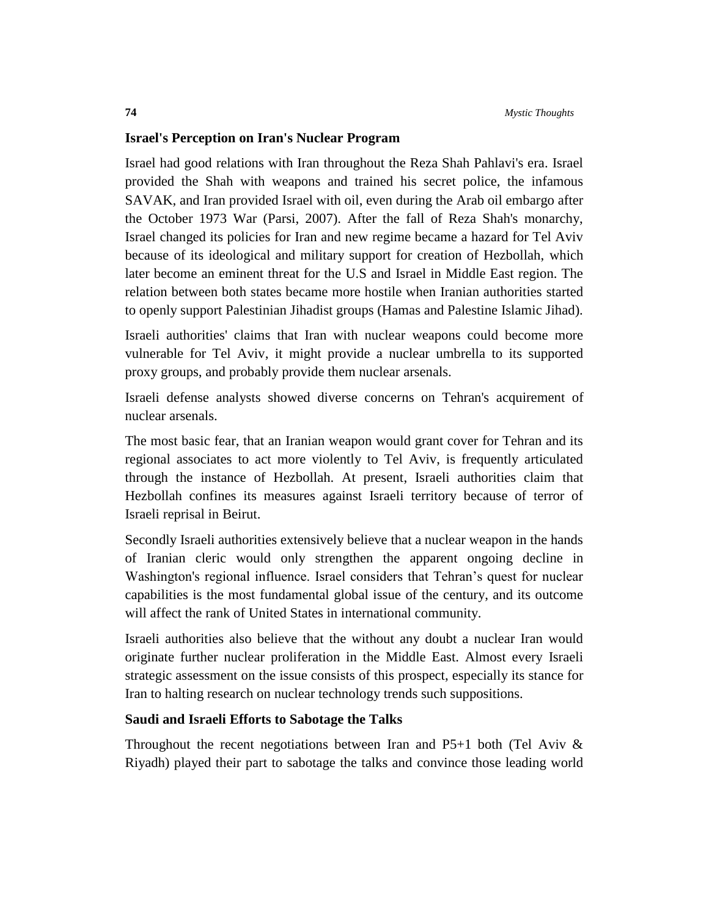## **Israel's Perception on Iran's Nuclear Program**

Israel had good relations with Iran throughout the Reza Shah Pahlavi's era. Israel provided the Shah with weapons and trained his secret police, the infamous SAVAK, and Iran provided Israel with oil, even during the Arab oil embargo after the October 1973 War (Parsi, 2007). After the fall of Reza Shah's monarchy, Israel changed its policies for Iran and new regime became a hazard for Tel Aviv because of its ideological and military support for creation of Hezbollah, which later become an eminent threat for the U.S and Israel in Middle East region. The relation between both states became more hostile when Iranian authorities started to openly support Palestinian Jihadist groups (Hamas and Palestine Islamic Jihad).

Israeli authorities' claims that Iran with nuclear weapons could become more vulnerable for Tel Aviv, it might provide a nuclear umbrella to its supported proxy groups, and probably provide them nuclear arsenals.

Israeli defense analysts showed diverse concerns on Tehran's acquirement of nuclear arsenals.

The most basic fear, that an Iranian weapon would grant cover for Tehran and its regional associates to act more violently to Tel Aviv, is frequently articulated through the instance of Hezbollah. At present, Israeli authorities claim that Hezbollah confines its measures against Israeli territory because of terror of Israeli reprisal in Beirut.

Secondly Israeli authorities extensively believe that a nuclear weapon in the hands of Iranian cleric would only strengthen the apparent ongoing decline in Washington's regional influence. Israel considers that Tehran's quest for nuclear capabilities is the most fundamental global issue of the century, and its outcome will affect the rank of United States in international community.

Israeli authorities also believe that the without any doubt a nuclear Iran would originate further nuclear proliferation in the Middle East. Almost every Israeli strategic assessment on the issue consists of this prospect, especially its stance for Iran to halting research on nuclear technology trends such suppositions.

## **Saudi and Israeli Efforts to Sabotage the Talks**

Throughout the recent negotiations between Iran and P5+1 both (Tel Aviv  $\&$ Riyadh) played their part to sabotage the talks and convince those leading world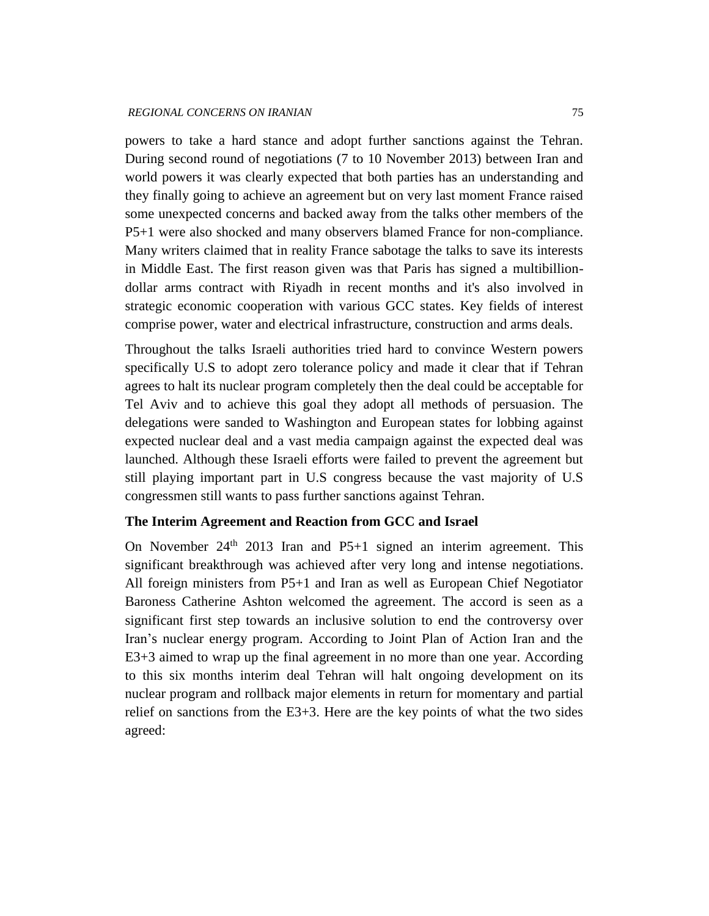powers to take a hard stance and adopt further sanctions against the Tehran. During second round of negotiations (7 to 10 November 2013) between Iran and world powers it was clearly expected that both parties has an understanding and they finally going to achieve an agreement but on very last moment France raised some unexpected concerns and backed away from the talks other members of the P5+1 were also shocked and many observers blamed France for non-compliance. Many writers claimed that in reality France sabotage the talks to save its interests in Middle East. The first reason given was that Paris has signed a multibilliondollar arms contract with Riyadh in recent months and it's also involved in strategic economic cooperation with various GCC states. Key fields of interest comprise power, water and electrical infrastructure, construction and arms deals.

Throughout the talks Israeli authorities tried hard to convince Western powers specifically U.S to adopt zero tolerance policy and made it clear that if Tehran agrees to halt its nuclear program completely then the deal could be acceptable for Tel Aviv and to achieve this goal they adopt all methods of persuasion. The delegations were sanded to Washington and European states for lobbing against expected nuclear deal and a vast media campaign against the expected deal was launched. Although these Israeli efforts were failed to prevent the agreement but still playing important part in U.S congress because the vast majority of U.S congressmen still wants to pass further sanctions against Tehran.

#### **The Interim Agreement and Reaction from GCC and Israel**

On November  $24<sup>th</sup>$  2013 Iran and P5+1 signed an interim agreement. This significant breakthrough was achieved after very long and intense negotiations. All foreign ministers from P5+1 and Iran as well as European Chief Negotiator Baroness Catherine Ashton welcomed the agreement. The accord is seen as a significant first step towards an inclusive solution to end the controversy over Iran's nuclear energy program. According to Joint Plan of Action Iran and the E3+3 aimed to wrap up the final agreement in no more than one year. According to this six months interim deal Tehran will halt ongoing development on its nuclear program and rollback major elements in return for momentary and partial relief on sanctions from the  $E3+3$ . Here are the key points of what the two sides agreed: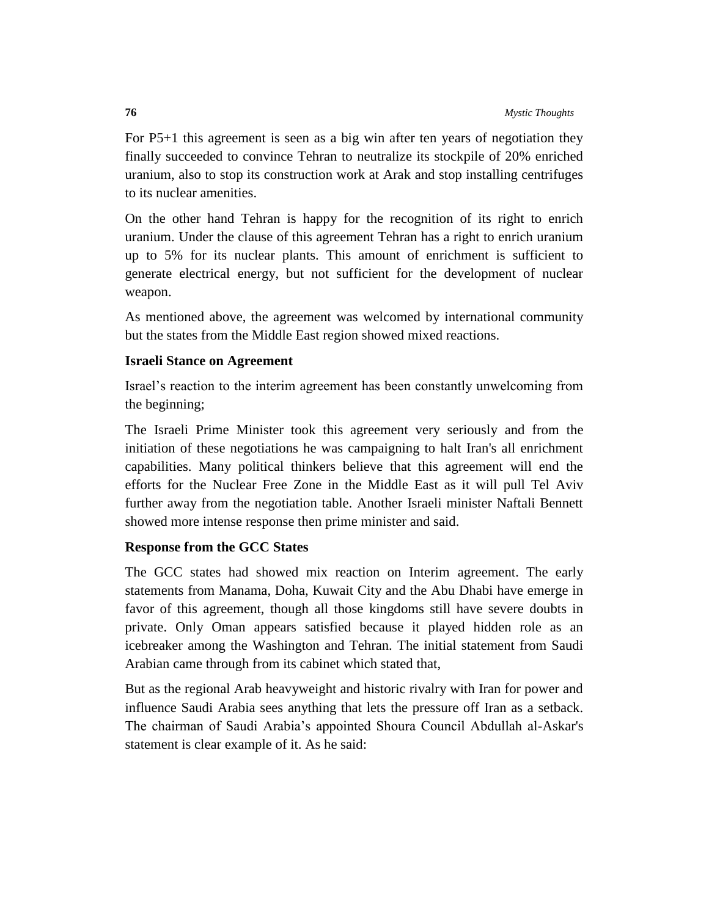For P5+1 this agreement is seen as a big win after ten years of negotiation they finally succeeded to convince Tehran to neutralize its stockpile of 20% enriched uranium, also to stop its construction work at Arak and stop installing centrifuges to its nuclear amenities.

On the other hand Tehran is happy for the recognition of its right to enrich uranium. Under the clause of this agreement Tehran has a right to enrich uranium up to 5% for its nuclear plants. This amount of enrichment is sufficient to generate electrical energy, but not sufficient for the development of nuclear weapon.

As mentioned above, the agreement was welcomed by international community but the states from the Middle East region showed mixed reactions.

## **Israeli Stance on Agreement**

Israel's reaction to the interim agreement has been constantly unwelcoming from the beginning;

The Israeli Prime Minister took this agreement very seriously and from the initiation of these negotiations he was campaigning to halt Iran's all enrichment capabilities. Many political thinkers believe that this agreement will end the efforts for the Nuclear Free Zone in the Middle East as it will pull Tel Aviv further away from the negotiation table. Another Israeli minister Naftali Bennett showed more intense response then prime minister and said.

## **Response from the GCC States**

The GCC states had showed mix reaction on Interim agreement. The early statements from Manama, Doha, Kuwait City and the Abu Dhabi have emerge in favor of this agreement, though all those kingdoms still have severe doubts in private. Only Oman appears satisfied because it played hidden role as an icebreaker among the Washington and Tehran. The initial statement from Saudi Arabian came through from its cabinet which stated that,

But as the regional Arab heavyweight and historic rivalry with Iran for power and influence Saudi Arabia sees anything that lets the pressure off Iran as a setback. The chairman of Saudi Arabia's appointed Shoura Council Abdullah al-Askar's statement is clear example of it. As he said: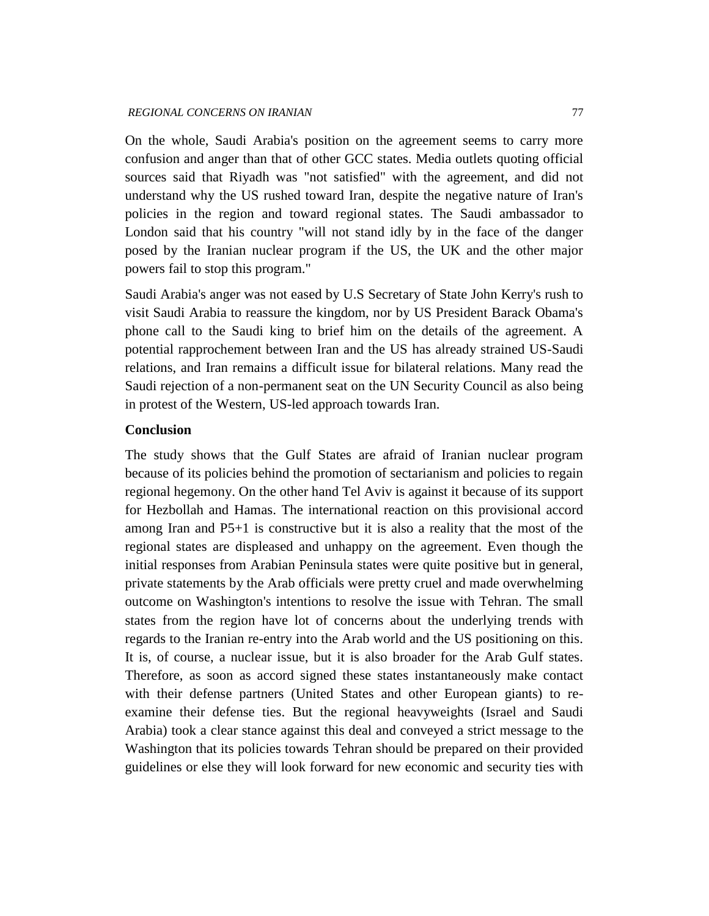On the whole, Saudi Arabia's position on the agreement seems to carry more confusion and anger than that of other GCC states. Media outlets quoting official sources said that Riyadh was "not satisfied" with the agreement, and did not understand why the US rushed toward Iran, despite the negative nature of Iran's policies in the region and toward regional states. The Saudi ambassador to London said that his country "will not stand idly by in the face of the danger posed by the Iranian nuclear program if the US, the UK and the other major powers fail to stop this program."

Saudi Arabia's anger was not eased by U.S Secretary of State John Kerry's rush to visit Saudi Arabia to reassure the kingdom, nor by US President Barack Obama's phone call to the Saudi king to brief him on the details of the agreement. A potential rapprochement between Iran and the US has already strained US-Saudi relations, and Iran remains a difficult issue for bilateral relations. Many read the Saudi rejection of a non-permanent seat on the UN Security Council as also being in protest of the Western, US-led approach towards Iran.

#### **Conclusion**

The study shows that the Gulf States are afraid of Iranian nuclear program because of its policies behind the promotion of sectarianism and policies to regain regional hegemony. On the other hand Tel Aviv is against it because of its support for Hezbollah and Hamas. The international reaction on this provisional accord among Iran and P5+1 is constructive but it is also a reality that the most of the regional states are displeased and unhappy on the agreement. Even though the initial responses from Arabian Peninsula states were quite positive but in general, private statements by the Arab officials were pretty cruel and made overwhelming outcome on Washington's intentions to resolve the issue with Tehran. The small states from the region have lot of concerns about the underlying trends with regards to the Iranian re-entry into the Arab world and the US positioning on this. It is, of course, a nuclear issue, but it is also broader for the Arab Gulf states. Therefore, as soon as accord signed these states instantaneously make contact with their defense partners (United States and other European giants) to reexamine their defense ties. But the regional heavyweights (Israel and Saudi Arabia) took a clear stance against this deal and conveyed a strict message to the Washington that its policies towards Tehran should be prepared on their provided guidelines or else they will look forward for new economic and security ties with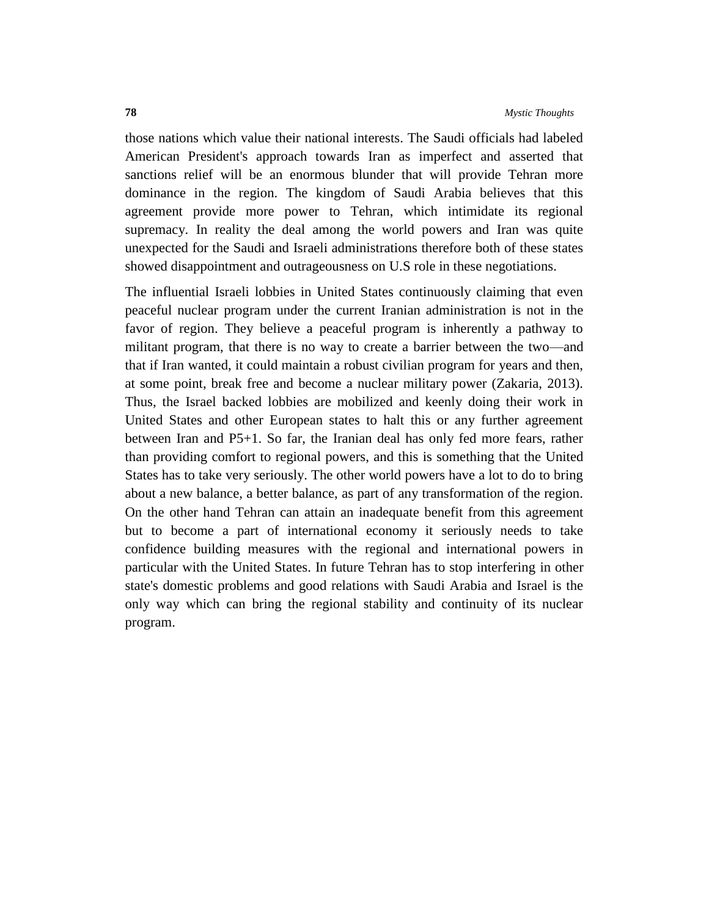those nations which value their national interests. The Saudi officials had labeled American President's approach towards Iran as imperfect and asserted that sanctions relief will be an enormous blunder that will provide Tehran more dominance in the region. The kingdom of Saudi Arabia believes that this agreement provide more power to Tehran, which intimidate its regional supremacy. In reality the deal among the world powers and Iran was quite unexpected for the Saudi and Israeli administrations therefore both of these states showed disappointment and outrageousness on U.S role in these negotiations.

The influential Israeli lobbies in United States continuously claiming that even peaceful nuclear program under the current Iranian administration is not in the favor of region. They believe a peaceful program is inherently a pathway to militant program, that there is no way to create a barrier between the two—and that if Iran wanted, it could maintain a robust civilian program for years and then, at some point, break free and become a nuclear military power (Zakaria, 2013). Thus, the Israel backed lobbies are mobilized and keenly doing their work in United States and other European states to halt this or any further agreement between Iran and P5+1. So far, the Iranian deal has only fed more fears, rather than providing comfort to regional powers, and this is something that the United States has to take very seriously. The other world powers have a lot to do to bring about a new balance, a better balance, as part of any transformation of the region. On the other hand Tehran can attain an inadequate benefit from this agreement but to become a part of international economy it seriously needs to take confidence building measures with the regional and international powers in particular with the United States. In future Tehran has to stop interfering in other state's domestic problems and good relations with Saudi Arabia and Israel is the only way which can bring the regional stability and continuity of its nuclear program.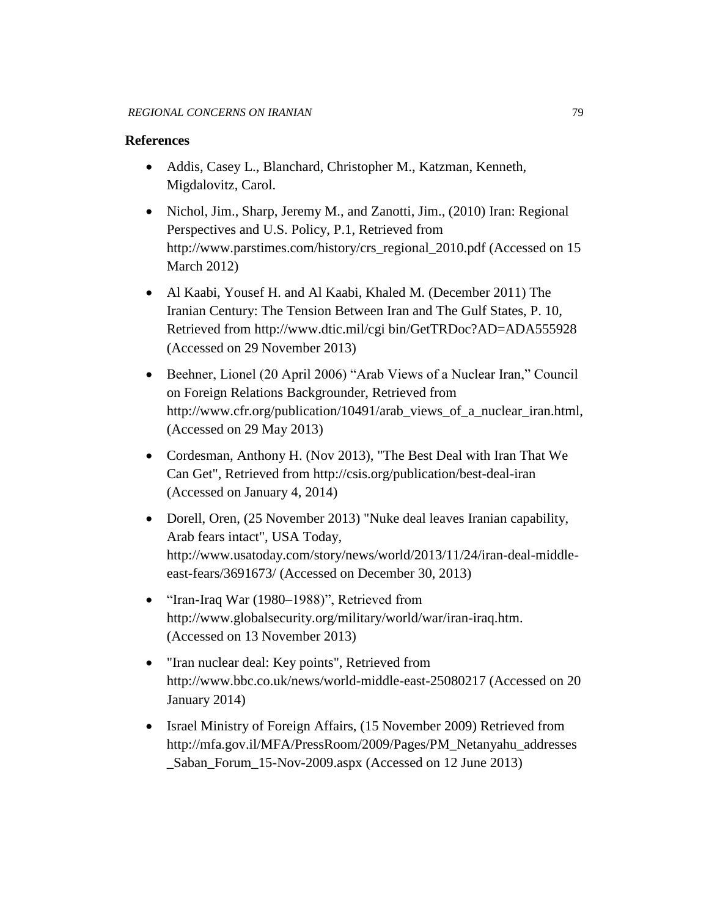### **References**

- Addis, Casey L., Blanchard, Christopher M., Katzman, Kenneth, Migdalovitz, Carol.
- Nichol, Jim., Sharp, Jeremy M., and Zanotti, Jim., (2010) Iran: Regional Perspectives and U.S. Policy, P.1, Retrieved from [http://www.parstimes.com/history/crs\\_regional\\_2010.pdf](http://www.parstimes.com/history/crs_regional_2010.pdf) (Accessed on 15 March 2012)
- Al Kaabi, Yousef H. and Al Kaabi, Khaled M. (December 2011) The Iranian Century: The Tension Between Iran and The Gulf States, P. 10, Retrieved from [http://www.dtic.mil/cgi bin/GetTRDoc?AD=ADA555928](http://www.dtic.mil/cgi%20bin/GetTRDoc?AD=ADA555928) (Accessed on 29 November 2013)
- Beehner, Lionel (20 April 2006) "Arab Views of a Nuclear Iran," Council on Foreign Relations Backgrounder, Retrieved from http://www.cfr.org/publication/10491/arab\_views\_of\_a\_nuclear\_iran.html, (Accessed on 29 May 2013)
- Cordesman, Anthony H. (Nov 2013), "The Best Deal with Iran That We Can Get", Retrieved from<http://csis.org/publication/best-deal-iran> (Accessed on January 4, 2014)
- Dorell, Oren, (25 November 2013) "Nuke deal leaves Iranian capability, Arab fears intact", USA Today, [http://www.usatoday.com/story/news/world/2013/11/24/iran-deal-middle](http://www.usatoday.com/story/news/world/2013/11/24/iran-deal-middle-east-fears/3691673/)[east-fears/3691673/](http://www.usatoday.com/story/news/world/2013/11/24/iran-deal-middle-east-fears/3691673/) (Accessed on December 30, 2013)
- "Iran-Iraq War (1980–1988)", Retrieved from [http://www.globalsecurity.org/military/world/war/iran-iraq.htm.](http://www.globalsecurity.org/military/world/war/iran-iraq.htm) (Accessed on 13 November 2013)
- "Iran nuclear deal: Key points", Retrieved from <http://www.bbc.co.uk/news/world-middle-east-25080217> (Accessed on 20 January 2014)
- Israel Ministry of Foreign Affairs, (15 November 2009) Retrieved from [http://mfa.gov.il/MFA/PressRoom/2009/Pages/PM\\_Netanyahu\\_addresses](http://mfa.gov.il/MFA/PressRoom/2009/Pages/PM_Netanyahu_addresses_Saban_Forum_15-Nov-2009.aspx) [\\_Saban\\_Forum\\_15-Nov-2009.aspx](http://mfa.gov.il/MFA/PressRoom/2009/Pages/PM_Netanyahu_addresses_Saban_Forum_15-Nov-2009.aspx) (Accessed on 12 June 2013)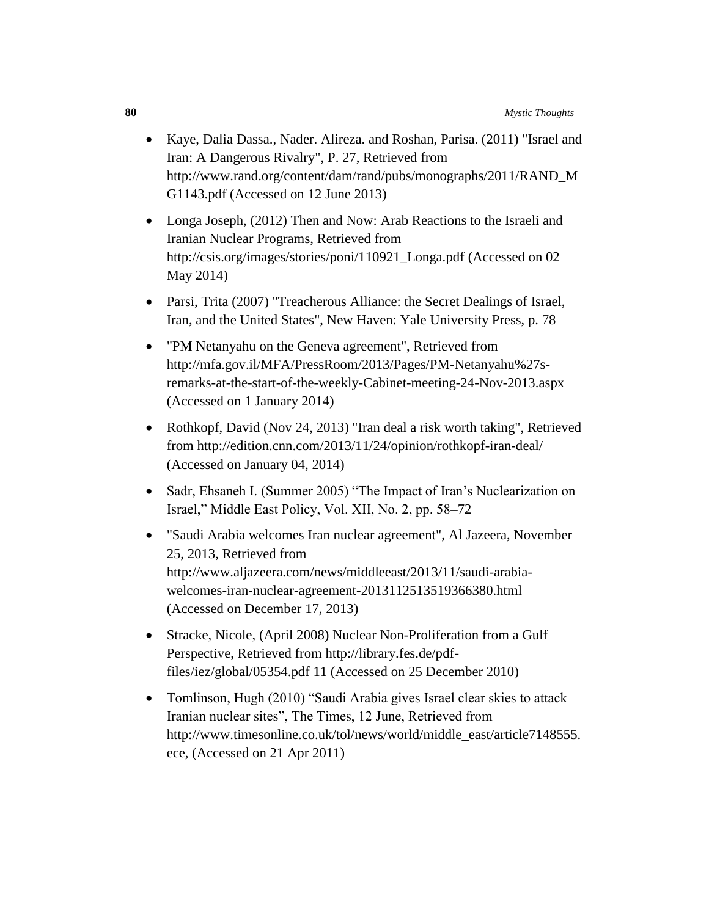- Kaye, Dalia Dassa., Nader. Alireza. and Roshan, Parisa. (2011) "Israel and Iran: A Dangerous Rivalry", P. 27, Retrieved from [http://www.rand.org/content/dam/rand/pubs/monographs/2011/RAND\\_M](http://www.rand.org/content/dam/rand/pubs/monographs/2011/RAND_MG1143.pdf) [G1143.pdf](http://www.rand.org/content/dam/rand/pubs/monographs/2011/RAND_MG1143.pdf) (Accessed on 12 June 2013)
- Longa Joseph, (2012) Then and Now: Arab Reactions to the Israeli and Iranian Nuclear Programs, Retrieved from [http://csis.org/images/stories/poni/110921\\_Longa.pdf](http://csis.org/images/stories/poni/110921_Longa.pdf) (Accessed on 02 May 2014)
- Parsi, Trita (2007) "Treacherous Alliance: the Secret Dealings of Israel, Iran, and the United States", New Haven: Yale University Press, p. 78
- "PM Netanyahu on the Geneva agreement", Retrieved from [http://mfa.gov.il/MFA/PressRoom/2013/Pages/PM-Netanyahu%27s](http://mfa.gov.il/MFA/PressRoom/2013/Pages/PM-Netanyahu%27s-remarks-at-the-start-of-the-weekly-Cabinet-meeting-24-Nov-2013.aspx)[remarks-at-the-start-of-the-weekly-Cabinet-meeting-24-Nov-2013.aspx](http://mfa.gov.il/MFA/PressRoom/2013/Pages/PM-Netanyahu%27s-remarks-at-the-start-of-the-weekly-Cabinet-meeting-24-Nov-2013.aspx) (Accessed on 1 January 2014)
- Rothkopf, David (Nov 24, 2013) "Iran deal a risk worth taking", Retrieved from<http://edition.cnn.com/2013/11/24/opinion/rothkopf-iran-deal/> (Accessed on January 04, 2014)
- Sadr, Ehsaneh I. (Summer 2005) "The Impact of Iran's Nuclearization on Israel," Middle East Policy, Vol. XII, No. 2, pp. 58–72
- "Saudi Arabia welcomes Iran nuclear agreement", Al Jazeera, November 25, 2013, Retrieved from [http://www.aljazeera.com/news/middleeast/2013/11/saudi-arabia](http://www.aljazeera.com/news/middleeast/2013/11/saudi-arabia-welcomes-iran-nuclear-agreement-2013112513519366380.html)[welcomes-iran-nuclear-agreement-2013112513519366380.html](http://www.aljazeera.com/news/middleeast/2013/11/saudi-arabia-welcomes-iran-nuclear-agreement-2013112513519366380.html)  (Accessed on December 17, 2013)
- Stracke, Nicole, (April 2008) Nuclear Non-Proliferation from a Gulf Perspective, Retrieved from http://library.fes.de/pdffiles/iez/global/05354.pdf 11 (Accessed on 25 December 2010)
- Tomlinson, Hugh (2010) "Saudi Arabia gives Israel clear skies to attack Iranian nuclear sites", The Times, 12 June, Retrieved from http://www.timesonline.co.uk/tol/news/world/middle\_east/article7148555. ece, (Accessed on 21 Apr 2011)